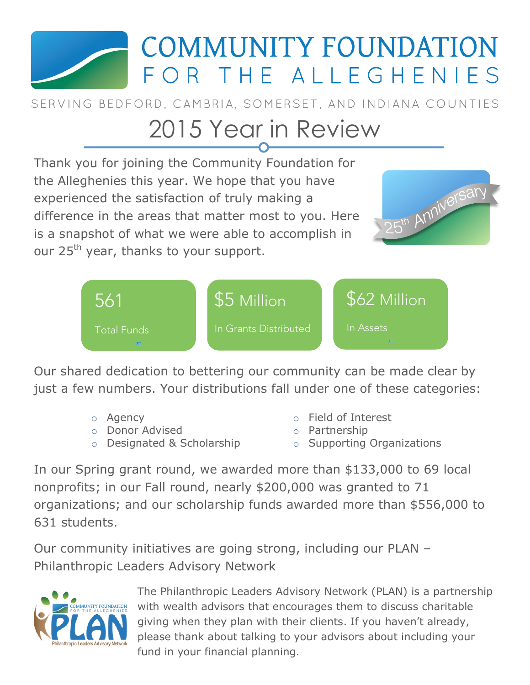

SERVING BEDFORD, CAMBRIA, SOMERSET, AND INDIANA COUNTIES

# 2015 Year in Review

Thank you for joining the Community Foundation for the Alleghenies this year. We hope that you have 25th Anniversary experienced the satisfaction of truly making a difference in the areas that matter most to you. Here is a snapshot of what we were able to accomplish in our 25<sup>th</sup> year, thanks to your support. \$62 Million \$5 Million 561 In Grants Distributed In Assets Total Funds

Our shared dedication to bettering our community can be made clear by just a few numbers. Your distributions fall under one of these categories:

- o Agency
- o Donor Advised
- o Designated & Scholarship
- o Field of Interest
- o Partnership
- o Supporting Organizations

In our Spring grant round, we awarded more than \$133,000 to 69 local nonprofits; in our Fall round, nearly \$200,000 was granted to 71 organizations; and our scholarship funds awarded more than \$556,000 to 631 students.

Our community initiatives are going strong, including our PLAN – Philanthropic Leaders Advisory Network



The Philanthropic Leaders Advisory Network (PLAN) is a partnership with wealth advisors that encourages them to discuss charitable giving when they plan with their clients. If you haven't already, please thank about talking to your advisors about including your fund in your financial planning.